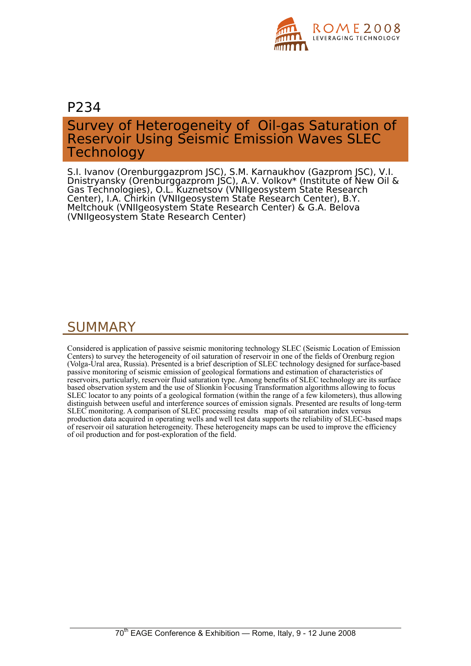

## P234

# Survey of Heterogeneity of Oil-gas Saturation of Reservoir Using Seismic Emission Waves SLEC **Technology**

S.I. Ivanov (Orenburggazprom JSC), S.M. Karnaukhov (Gazprom JSC), V.I. Dnistryansky (Orenburggazprom JSC), A.V. Volkov\* (Institute of New Oil & Gas Technologies), O.L. Kuznetsov (VNIIgeosystem State Research Center), I.A. Chirkin (VNIIgeosystem State Research Center), B.Y. Meltchouk (VNIIgeosystem State Research Center) & G.A. Belova (VNIIgeosystem State Research Center)

# SUMMARY

Considered is application of passive seismic monitoring technology SLEC (Seismic Location of Emission Centers) to survey the heterogeneity of oil saturation of reservoir in one of the fields of Orenburg region (Volga-Ural area, Russia). Presented is a brief description of SLEC technology designed for surface-based passive monitoring of seismic emission of geological formations and estimation of characteristics of reservoirs, particularly, reservoir fluid saturation type. Among benefits of SLEC technology are its surface based observation system and the use of Slionkin Focusing Transformation algorithms allowing to focus SLEC locator to any points of a geological formation (within the range of a few kilometers), thus allowing distinguish between useful and interference sources of emission signals. Presented are results of long-term SLEC monitoring. A comparison of SLEC processing results map of oil saturation index versus production data acquired in operating wells and well test data supports the reliability of SLEC-based maps of reservoir oil saturation heterogeneity. These heterogeneity maps can be used to improve the efficiency of oil production and for post-exploration of the field.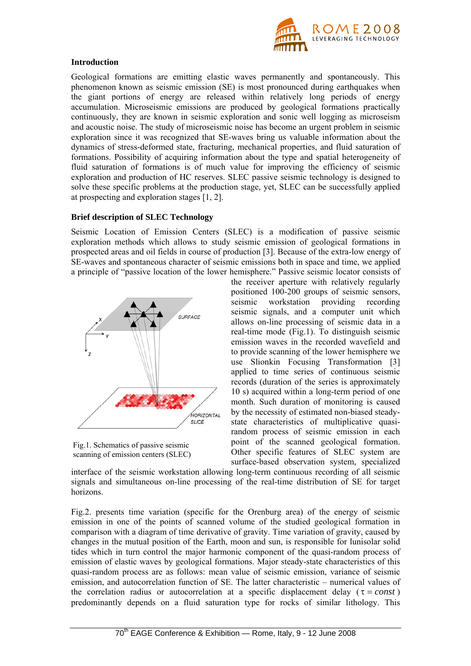

#### **Introduction**

Geological formations are emitting elastic waves permanently and spontaneously. This phenomenon known as seismic emission (SE) is most pronounced during earthquakes when the giant portions of energy are released within relatively long periods of energy accumulation. Microseismic emissions are produced by geological formations practically continuously, they are known in seismic exploration and sonic well logging as microseism and acoustic noise. The study of microseismic noise has become an urgent problem in seismic exploration since it was recognized that SE-waves bring us valuable information about the dynamics of stress-deformed state, fracturing, mechanical properties, and fluid saturation of formations. Possibility of acquiring information about the type and spatial heterogeneity of fluid saturation of formations is of much value for improving the efficiency of seismic exploration and production of HC reserves. SLEC passive seismic technology is designed to solve these specific problems at the production stage, yet, SLEC can be successfully applied at prospecting and exploration stages [1, 2].

#### **Brief description of SLEC Technology**

Seismic Location of Emission Centers (SLEC) is a modification of passive seismic exploration methods which allows to study seismic emission of geological formations in prospected areas and oil fields in course of production [3]. Because of the extra-low energy of SE-waves and spontaneous character of seismic emissions both in space and time, we applied a principle of "passive location of the lower hemisphere." Passive seismic locator consists of



Fig.1. Schematics of passive seismic scanning of emission centers (SLEC)

the receiver aperture with relatively regularly positioned 100-200 groups of seismic sensors, seismic workstation providing recording seismic signals, and a computer unit which allows on-line processing of seismic data in a real-time mode (Fig.1). To distinguish seismic emission waves in the recorded wavefield and to provide scanning of the lower hemisphere we use Slionkin Focusing Transformation [3] applied to time series of continuous seismic records (duration of the series is approximately 10 s) acquired within a long-term period of one month. Such duration of monitoring is caused by the necessity of estimated non-biased steadystate characteristics of multiplicative quasirandom process of seismic emission in each point of the scanned geological formation. Other specific features of SLEC system are surface-based observation system, specialized

interface of the seismic workstation allowing long-term continuous recording of all seismic signals and simultaneous on-line processing of the real-time distribution of SE for target horizons.

Fig.2. presents time variation (specific for the Orenburg area) of the energy of seismic emission in one of the points of scanned volume of the studied geological formation in comparison with a diagram of time derivative of gravity. Time variation of gravity, caused by changes in the mutual position of the Earth, moon and sun, is responsible for lunisolar solid tides which in turn control the major harmonic component of the quasi-random process of emission of elastic waves by geological formations. Major steady-state characteristics of this quasi-random process are as follows: mean value of seismic emission, variance of seismic emission, and autocorrelation function of SE. The latter characteristic – numerical values of the correlation radius or autocorrelation at a specific displacement delay ( $\tau = const$ ) predominantly depends on a fluid saturation type for rocks of similar lithology. This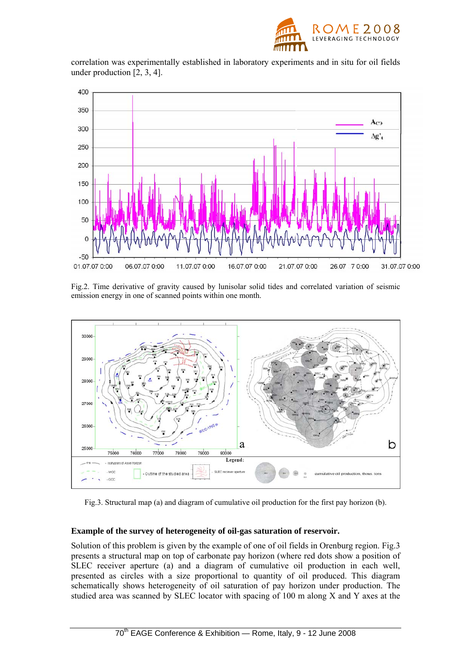

correlation was experimentally established in laboratory experiments and in situ for oil fields under production [2, 3, 4].



Fig.2. Time derivative of gravity caused by lunisolar solid tides and correlated variation of seismic emission energy in one of scanned points within one month.



Fig.3. Structural map (a) and diagram of cumulative oil production for the first pay horizon (b).

## **Example of the survey of heterogeneity of oil-gas saturation of reservoir.**

Solution of this problem is given by the example of one of oil fields in Orenburg region. Fig.3 presents a structural map on top of carbonate pay horizon (where red dots show a position of SLEC receiver aperture (a) and a diagram of cumulative oil production in each well, presented as circles with a size proportional to quantity of oil produced. This diagram schematically shows heterogeneity of oil saturation of pay horizon under production. The studied area was scanned by SLEC locator with spacing of 100 m along X and Y axes at the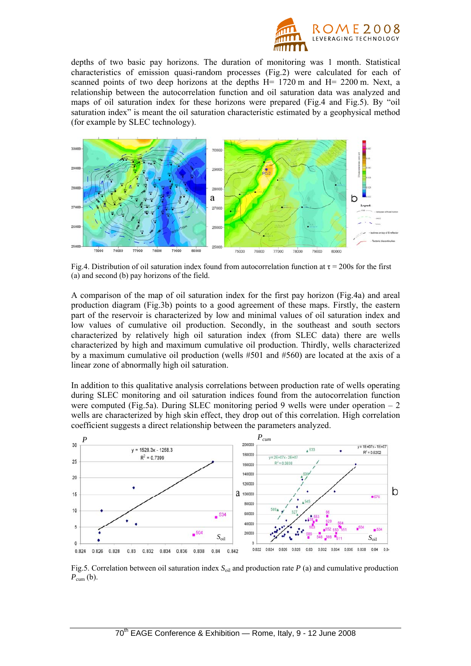

depths of two basic pay horizons. The duration of monitoring was 1 month. Statistical characteristics of emission quasi-random processes (Fig.2) were calculated for each of scanned points of two deep horizons at the depths H= 1720 m and H= 2200 m. Next, a relationship between the autocorrelation function and oil saturation data was analyzed and maps of oil saturation index for these horizons were prepared (Fig.4 and Fig.5). By "oil saturation index" is meant the oil saturation characteristic estimated by a geophysical method (for example by SLEC technology).



Fig.4. Distribution of oil saturation index found from autocorrelation function at  $\tau = 200$ s for the first (a) and second (b) pay horizons of the field.

A comparison of the map of oil saturation index for the first pay horizon (Fig.4a) and areal production diagram (Fig.3b) points to a good agreement of these maps. Firstly, the eastern part of the reservoir is characterized by low and minimal values of oil saturation index and low values of cumulative oil production. Secondly, in the southeast and south sectors characterized by relatively high oil saturation index (from SLEC data) there are wells characterized by high and maximum cumulative oil production. Thirdly, wells characterized by a maximum cumulative oil production (wells #501 and #560) are located at the axis of a linear zone of abnormally high oil saturation.

In addition to this qualitative analysis correlations between production rate of wells operating during SLEC monitoring and oil saturation indices found from the autocorrelation function were computed (Fig.5a). During SLEC monitoring period 9 wells were under operation  $-2$ wells are characterized by high skin effect, they drop out of this correlation. High correlation coefficient suggests a direct relationship between the parameters analyzed.



Fig.5. Correlation between oil saturation index  $S<sub>oil</sub>$  and production rate *P* (a) and cumulative production  $P_{\text{cum}}$  (b).